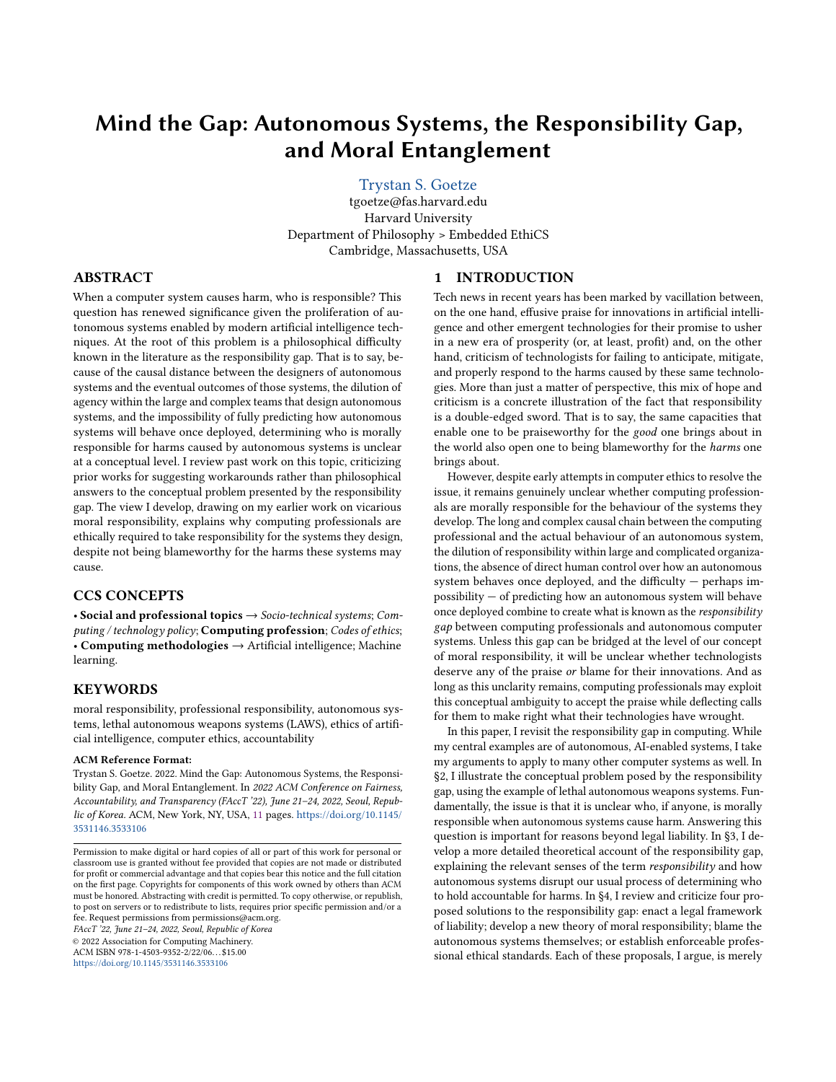# Mind the Gap: Autonomous Systems, the Responsibility Gap, and Moral Entanglement

# [Trystan S. Goetze](https://orcid.org/0000-0002-3435-3264)

tgoetze@fas.harvard.edu Harvard University Department of Philosophy > Embedded EthiCS Cambridge, Massachusetts, USA

# ABSTRACT

When a computer system causes harm, who is responsible? This question has renewed significance given the proliferation of autonomous systems enabled by modern artificial intelligence techniques. At the root of this problem is a philosophical difficulty known in the literature as the responsibility gap. That is to say, because of the causal distance between the designers of autonomous systems and the eventual outcomes of those systems, the dilution of agency within the large and complex teams that design autonomous systems, and the impossibility of fully predicting how autonomous systems will behave once deployed, determining who is morally responsible for harms caused by autonomous systems is unclear at a conceptual level. I review past work on this topic, criticizing prior works for suggesting workarounds rather than philosophical answers to the conceptual problem presented by the responsibility gap. The view I develop, drawing on my earlier work on vicarious moral responsibility, explains why computing professionals are ethically required to take responsibility for the systems they design, despite not being blameworthy for the harms these systems may cause.

# CCS CONCEPTS

• Social and professional topics  $\rightarrow$  Socio-technical systems; Computing / technology policy; Computing profession; Codes of ethics; • Computing methodologies → Artificial intelligence; Machine learning.

## **KEYWORDS**

moral responsibility, professional responsibility, autonomous systems, lethal autonomous weapons systems (LAWS), ethics of artificial intelligence, computer ethics, accountability

#### ACM Reference Format:

Trystan S. Goetze. 2022. Mind the Gap: Autonomous Systems, the Responsibility Gap, and Moral Entanglement. In 2022 ACM Conference on Fairness, Accountability, and Transparency (FAccT '22), June 21-24, 2022, Seoul, Republic of Korea. ACM, New York, NY, USA, [11](#page-10-0) pages. [https://doi.org/10.1145/](https://doi.org/10.1145/3531146.3533106) [3531146.3533106](https://doi.org/10.1145/3531146.3533106)

FAccT '22, June 21–24, 2022, Seoul, Republic of Korea © 2022 Association for Computing Machinery. ACM ISBN 978-1-4503-9352-2/22/06. . . \$15.00 <https://doi.org/10.1145/3531146.3533106>

## 1 INTRODUCTION

Tech news in recent years has been marked by vacillation between, on the one hand, effusive praise for innovations in artificial intelligence and other emergent technologies for their promise to usher in a new era of prosperity (or, at least, profit) and, on the other hand, criticism of technologists for failing to anticipate, mitigate, and properly respond to the harms caused by these same technologies. More than just a matter of perspective, this mix of hope and criticism is a concrete illustration of the fact that responsibility is a double-edged sword. That is to say, the same capacities that enable one to be praiseworthy for the good one brings about in the world also open one to being blameworthy for the harms one brings about.

However, despite early attempts in computer ethics to resolve the issue, it remains genuinely unclear whether computing professionals are morally responsible for the behaviour of the systems they develop. The long and complex causal chain between the computing professional and the actual behaviour of an autonomous system, the dilution of responsibility within large and complicated organizations, the absence of direct human control over how an autonomous system behaves once deployed, and the difficulty — perhaps impossibility — of predicting how an autonomous system will behave once deployed combine to create what is known as the responsibility gap between computing professionals and autonomous computer systems. Unless this gap can be bridged at the level of our concept of moral responsibility, it will be unclear whether technologists deserve any of the praise or blame for their innovations. And as long as this unclarity remains, computing professionals may exploit this conceptual ambiguity to accept the praise while deflecting calls for them to make right what their technologies have wrought.

In this paper, I revisit the responsibility gap in computing. While my central examples are of autonomous, AI-enabled systems, I take my arguments to apply to many other computer systems as well. In §2, I illustrate the conceptual problem posed by the responsibility gap, using the example of lethal autonomous weapons systems. Fundamentally, the issue is that it is unclear who, if anyone, is morally responsible when autonomous systems cause harm. Answering this question is important for reasons beyond legal liability. In §3, I develop a more detailed theoretical account of the responsibility gap, explaining the relevant senses of the term responsibility and how autonomous systems disrupt our usual process of determining who to hold accountable for harms. In §4, I review and criticize four proposed solutions to the responsibility gap: enact a legal framework of liability; develop a new theory of moral responsibility; blame the autonomous systems themselves; or establish enforceable professional ethical standards. Each of these proposals, I argue, is merely

Permission to make digital or hard copies of all or part of this work for personal or classroom use is granted without fee provided that copies are not made or distributed for profit or commercial advantage and that copies bear this notice and the full citation on the first page. Copyrights for components of this work owned by others than ACM must be honored. Abstracting with credit is permitted. To copy otherwise, or republish, to post on servers or to redistribute to lists, requires prior specific permission and/or a fee. Request permissions from permissions@acm.org.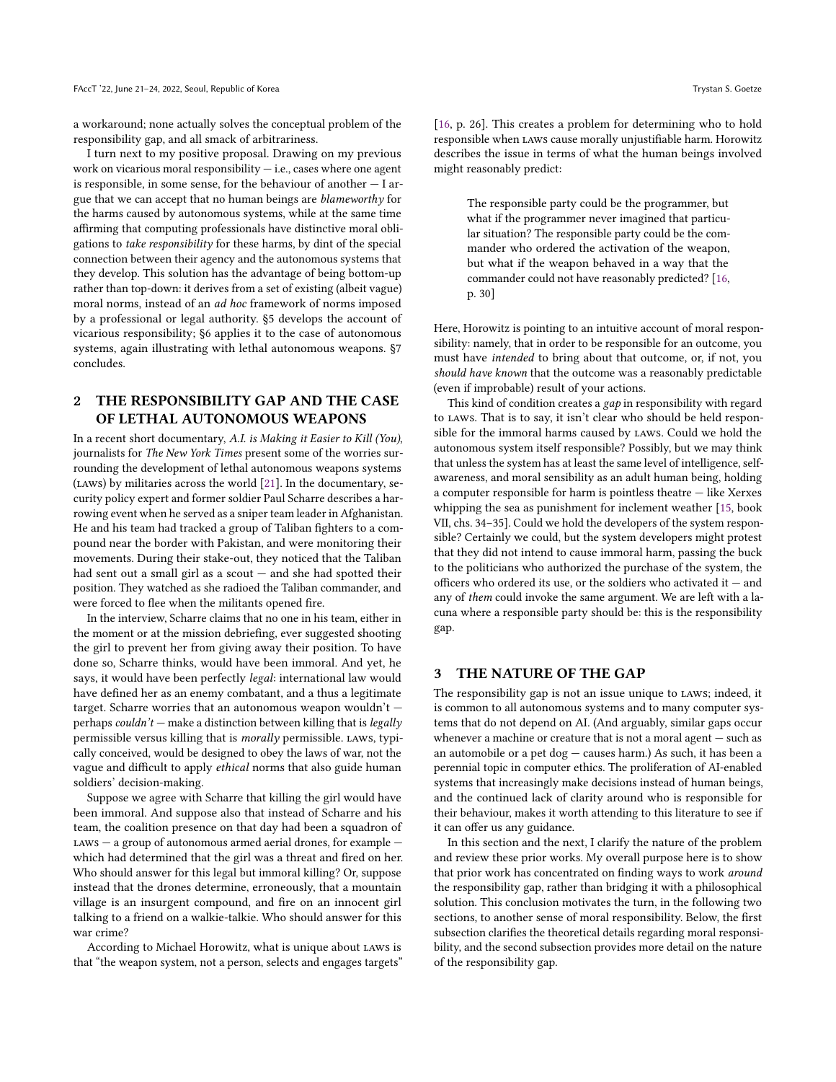a workaround; none actually solves the conceptual problem of the responsibility gap, and all smack of arbitrariness.

I turn next to my positive proposal. Drawing on my previous work on vicarious moral responsibility  $-$  i.e., cases where one agent is responsible, in some sense, for the behaviour of another  $-1$  argue that we can accept that no human beings are blameworthy for the harms caused by autonomous systems, while at the same time affirming that computing professionals have distinctive moral obligations to take responsibility for these harms, by dint of the special connection between their agency and the autonomous systems that they develop. This solution has the advantage of being bottom-up rather than top-down: it derives from a set of existing (albeit vague) moral norms, instead of an ad hoc framework of norms imposed by a professional or legal authority. §5 develops the account of vicarious responsibility; §6 applies it to the case of autonomous systems, again illustrating with lethal autonomous weapons. §7 concludes.

# 2 THE RESPONSIBILITY GAP AND THE CASE OF LETHAL AUTONOMOUS WEAPONS

In a recent short documentary, A.I. is Making it Easier to Kill (You), journalists for The New York Times present some of the worries surrounding the development of lethal autonomous weapons systems (laws) by militaries across the world [\[21\]](#page-9-0). In the documentary, security policy expert and former soldier Paul Scharre describes a harrowing event when he served as a sniper team leader in Afghanistan. He and his team had tracked a group of Taliban fighters to a compound near the border with Pakistan, and were monitoring their movements. During their stake-out, they noticed that the Taliban had sent out a small girl as a scout  $-$  and she had spotted their position. They watched as she radioed the Taliban commander, and were forced to flee when the militants opened fire.

In the interview, Scharre claims that no one in his team, either in the moment or at the mission debriefing, ever suggested shooting the girl to prevent her from giving away their position. To have done so, Scharre thinks, would have been immoral. And yet, he says, it would have been perfectly legal: international law would have defined her as an enemy combatant, and a thus a legitimate target. Scharre worries that an autonomous weapon wouldn't perhaps couldn't  $-$  make a distinction between killing that is legally permissible versus killing that is morally permissible. LAWS, typically conceived, would be designed to obey the laws of war, not the vague and difficult to apply ethical norms that also guide human soldiers' decision-making.

Suppose we agree with Scharre that killing the girl would have been immoral. And suppose also that instead of Scharre and his team, the coalition presence on that day had been a squadron of  $\text{Laws}$  – a group of autonomous armed aerial drones, for example – which had determined that the girl was a threat and fired on her. Who should answer for this legal but immoral killing? Or, suppose instead that the drones determine, erroneously, that a mountain village is an insurgent compound, and fire on an innocent girl talking to a friend on a walkie-talkie. Who should answer for this war crime?

According to Michael Horowitz, what is unique about laws is that "the weapon system, not a person, selects and engages targets" [\[16,](#page-9-1) p. 26]. This creates a problem for determining who to hold responsible when laws cause morally unjustifiable harm. Horowitz describes the issue in terms of what the human beings involved might reasonably predict:

The responsible party could be the programmer, but what if the programmer never imagined that particular situation? The responsible party could be the commander who ordered the activation of the weapon, but what if the weapon behaved in a way that the commander could not have reasonably predicted? [\[16,](#page-9-1) p. 30]

Here, Horowitz is pointing to an intuitive account of moral responsibility: namely, that in order to be responsible for an outcome, you must have intended to bring about that outcome, or, if not, you should have known that the outcome was a reasonably predictable (even if improbable) result of your actions.

This kind of condition creates a gap in responsibility with regard to laws. That is to say, it isn't clear who should be held responsible for the immoral harms caused by laws. Could we hold the autonomous system itself responsible? Possibly, but we may think that unless the system has at least the same level of intelligence, selfawareness, and moral sensibility as an adult human being, holding a computer responsible for harm is pointless theatre — like Xerxes whipping the sea as punishment for inclement weather [\[15,](#page-9-2) book VII, chs. 34–35]. Could we hold the developers of the system responsible? Certainly we could, but the system developers might protest that they did not intend to cause immoral harm, passing the buck to the politicians who authorized the purchase of the system, the officers who ordered its use, or the soldiers who activated it — and any of them could invoke the same argument. We are left with a lacuna where a responsible party should be: this is the responsibility gap.

## 3 THE NATURE OF THE GAP

The responsibility gap is not an issue unique to laws; indeed, it is common to all autonomous systems and to many computer systems that do not depend on AI. (And arguably, similar gaps occur whenever a machine or creature that is not a moral agent — such as an automobile or a pet dog — causes harm.) As such, it has been a perennial topic in computer ethics. The proliferation of AI-enabled systems that increasingly make decisions instead of human beings, and the continued lack of clarity around who is responsible for their behaviour, makes it worth attending to this literature to see if it can offer us any guidance.

In this section and the next, I clarify the nature of the problem and review these prior works. My overall purpose here is to show that prior work has concentrated on finding ways to work around the responsibility gap, rather than bridging it with a philosophical solution. This conclusion motivates the turn, in the following two sections, to another sense of moral responsibility. Below, the first subsection clarifies the theoretical details regarding moral responsibility, and the second subsection provides more detail on the nature of the responsibility gap.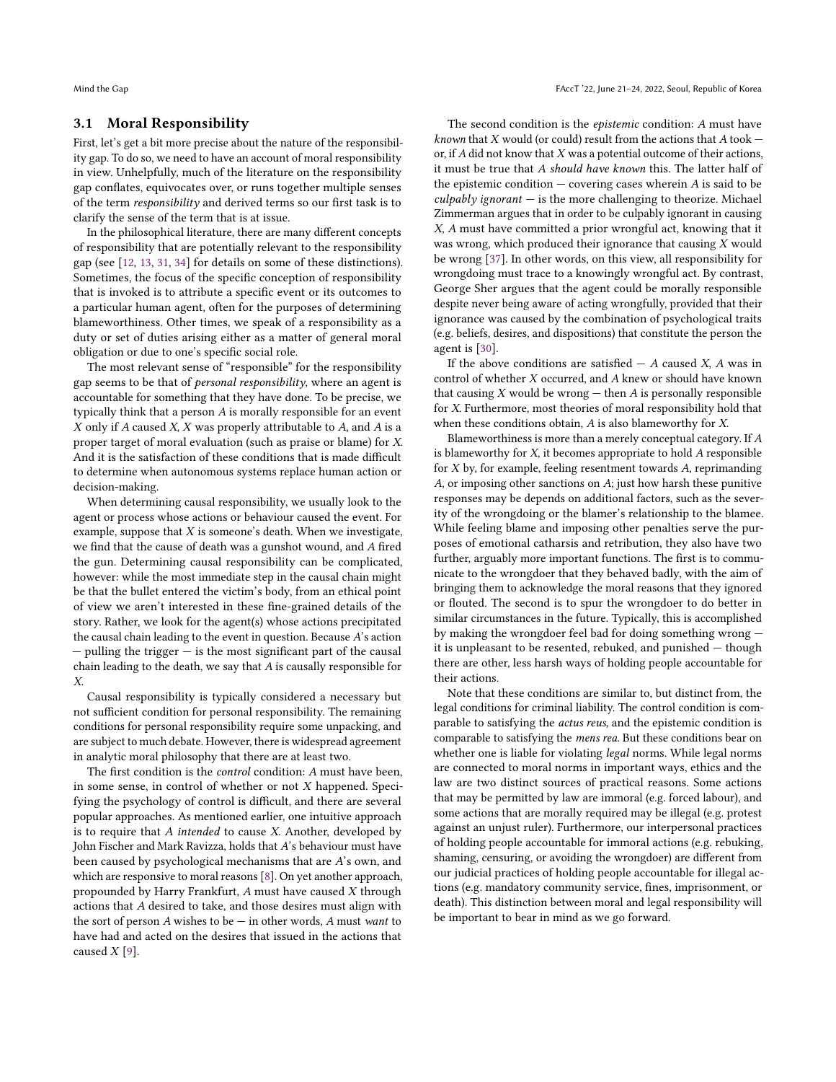## 3.1 Moral Responsibility

First, let's get a bit more precise about the nature of the responsibility gap. To do so, we need to have an account of moral responsibility in view. Unhelpfully, much of the literature on the responsibility gap conflates, equivocates over, or runs together multiple senses of the term responsibility and derived terms so our first task is to clarify the sense of the term that is at issue.

In the philosophical literature, there are many different concepts of responsibility that are potentially relevant to the responsibility gap (see [\[12,](#page-9-3) [13,](#page-9-4) [31,](#page-9-5) [34\]](#page-9-6) for details on some of these distinctions). Sometimes, the focus of the specific conception of responsibility that is invoked is to attribute a specific event or its outcomes to a particular human agent, often for the purposes of determining blameworthiness. Other times, we speak of a responsibility as a duty or set of duties arising either as a matter of general moral obligation or due to one's specific social role.

The most relevant sense of "responsible" for the responsibility gap seems to be that of personal responsibility, where an agent is accountable for something that they have done. To be precise, we typically think that a person A is morally responsible for an event  $X$  only if  $A$  caused  $X$ ,  $X$  was properly attributable to  $A$ , and  $A$  is a proper target of moral evaluation (such as praise or blame) for X. And it is the satisfaction of these conditions that is made difficult to determine when autonomous systems replace human action or decision-making.

When determining causal responsibility, we usually look to the agent or process whose actions or behaviour caused the event. For example, suppose that  $X$  is someone's death. When we investigate, we find that the cause of death was a gunshot wound, and A fired the gun. Determining causal responsibility can be complicated, however: while the most immediate step in the causal chain might be that the bullet entered the victim's body, from an ethical point of view we aren't interested in these fine-grained details of the story. Rather, we look for the agent(s) whose actions precipitated the causal chain leading to the event in question. Because A's action  $-$  pulling the trigger  $-$  is the most significant part of the causal chain leading to the death, we say that A is causally responsible for X.

Causal responsibility is typically considered a necessary but not sufficient condition for personal responsibility. The remaining conditions for personal responsibility require some unpacking, and are subject to much debate. However, there is widespread agreement in analytic moral philosophy that there are at least two.

The first condition is the control condition: A must have been, in some sense, in control of whether or not X happened. Specifying the psychology of control is difficult, and there are several popular approaches. As mentioned earlier, one intuitive approach is to require that  $A$  intended to cause  $X$ . Another, developed by John Fischer and Mark Ravizza, holds that A's behaviour must have been caused by psychological mechanisms that are A's own, and which are responsive to moral reasons [\[8\]](#page-9-7). On yet another approach, propounded by Harry Frankfurt, A must have caused X through actions that A desired to take, and those desires must align with the sort of person  $A$  wishes to be  $-$  in other words,  $A$  must want to have had and acted on the desires that issued in the actions that caused  $X$  [\[9\]](#page-9-8).

The second condition is the epistemic condition: A must have known that  $X$  would (or could) result from the actions that  $A$  took  $$ or, if  $A$  did not know that  $X$  was a potential outcome of their actions, it must be true that A should have known this. The latter half of the epistemic condition  $-$  covering cases wherein  $A$  is said to be  $\alpha$ culpably ignorant  $-$  is the more challenging to theorize. Michael Zimmerman argues that in order to be culpably ignorant in causing X, A must have committed a prior wrongful act, knowing that it was wrong, which produced their ignorance that causing X would be wrong [\[37\]](#page-10-1). In other words, on this view, all responsibility for wrongdoing must trace to a knowingly wrongful act. By contrast, George Sher argues that the agent could be morally responsible despite never being aware of acting wrongfully, provided that their ignorance was caused by the combination of psychological traits (e.g. beliefs, desires, and dispositions) that constitute the person the agent is [\[30\]](#page-9-9).

If the above conditions are satisfied  $- A$  caused X, A was in control of whether X occurred, and A knew or should have known that causing  $X$  would be wrong  $-$  then  $A$  is personally responsible for X. Furthermore, most theories of moral responsibility hold that when these conditions obtain, A is also blameworthy for X.

Blameworthiness is more than a merely conceptual category. If A is blameworthy for X, it becomes appropriate to hold A responsible for X by, for example, feeling resentment towards A, reprimanding A, or imposing other sanctions on A; just how harsh these punitive responses may be depends on additional factors, such as the severity of the wrongdoing or the blamer's relationship to the blamee. While feeling blame and imposing other penalties serve the purposes of emotional catharsis and retribution, they also have two further, arguably more important functions. The first is to communicate to the wrongdoer that they behaved badly, with the aim of bringing them to acknowledge the moral reasons that they ignored or flouted. The second is to spur the wrongdoer to do better in similar circumstances in the future. Typically, this is accomplished by making the wrongdoer feel bad for doing something wrong it is unpleasant to be resented, rebuked, and punished — though there are other, less harsh ways of holding people accountable for their actions.

Note that these conditions are similar to, but distinct from, the legal conditions for criminal liability. The control condition is comparable to satisfying the actus reus, and the epistemic condition is comparable to satisfying the mens rea. But these conditions bear on whether one is liable for violating *legal* norms. While legal norms are connected to moral norms in important ways, ethics and the law are two distinct sources of practical reasons. Some actions that may be permitted by law are immoral (e.g. forced labour), and some actions that are morally required may be illegal (e.g. protest against an unjust ruler). Furthermore, our interpersonal practices of holding people accountable for immoral actions (e.g. rebuking, shaming, censuring, or avoiding the wrongdoer) are different from our judicial practices of holding people accountable for illegal actions (e.g. mandatory community service, fines, imprisonment, or death). This distinction between moral and legal responsibility will be important to bear in mind as we go forward.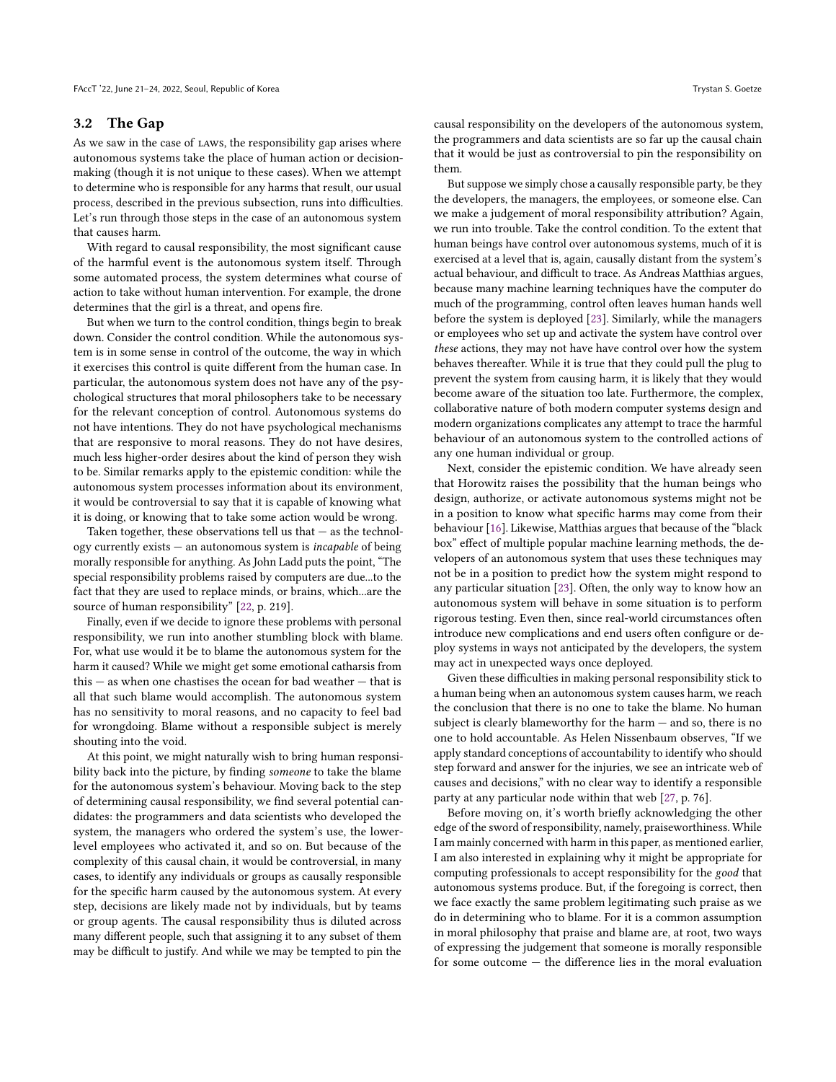#### 3.2 The Gap

As we saw in the case of LAWS, the responsibility gap arises where autonomous systems take the place of human action or decisionmaking (though it is not unique to these cases). When we attempt to determine who is responsible for any harms that result, our usual process, described in the previous subsection, runs into difficulties. Let's run through those steps in the case of an autonomous system that causes harm.

With regard to causal responsibility, the most significant cause of the harmful event is the autonomous system itself. Through some automated process, the system determines what course of action to take without human intervention. For example, the drone determines that the girl is a threat, and opens fire.

But when we turn to the control condition, things begin to break down. Consider the control condition. While the autonomous system is in some sense in control of the outcome, the way in which it exercises this control is quite different from the human case. In particular, the autonomous system does not have any of the psychological structures that moral philosophers take to be necessary for the relevant conception of control. Autonomous systems do not have intentions. They do not have psychological mechanisms that are responsive to moral reasons. They do not have desires, much less higher-order desires about the kind of person they wish to be. Similar remarks apply to the epistemic condition: while the autonomous system processes information about its environment, it would be controversial to say that it is capable of knowing what it is doing, or knowing that to take some action would be wrong.

Taken together, these observations tell us that  $-$  as the technology currently exists — an autonomous system is incapable of being morally responsible for anything. As John Ladd puts the point, "The special responsibility problems raised by computers are due...to the fact that they are used to replace minds, or brains, which...are the source of human responsibility" [\[22,](#page-9-10) p. 219].

Finally, even if we decide to ignore these problems with personal responsibility, we run into another stumbling block with blame. For, what use would it be to blame the autonomous system for the harm it caused? While we might get some emotional catharsis from this — as when one chastises the ocean for bad weather — that is all that such blame would accomplish. The autonomous system has no sensitivity to moral reasons, and no capacity to feel bad for wrongdoing. Blame without a responsible subject is merely shouting into the void.

At this point, we might naturally wish to bring human responsibility back into the picture, by finding someone to take the blame for the autonomous system's behaviour. Moving back to the step of determining causal responsibility, we find several potential candidates: the programmers and data scientists who developed the system, the managers who ordered the system's use, the lowerlevel employees who activated it, and so on. But because of the complexity of this causal chain, it would be controversial, in many cases, to identify any individuals or groups as causally responsible for the specific harm caused by the autonomous system. At every step, decisions are likely made not by individuals, but by teams or group agents. The causal responsibility thus is diluted across many different people, such that assigning it to any subset of them may be difficult to justify. And while we may be tempted to pin the

causal responsibility on the developers of the autonomous system, the programmers and data scientists are so far up the causal chain that it would be just as controversial to pin the responsibility on them.

But suppose we simply chose a causally responsible party, be they the developers, the managers, the employees, or someone else. Can we make a judgement of moral responsibility attribution? Again, we run into trouble. Take the control condition. To the extent that human beings have control over autonomous systems, much of it is exercised at a level that is, again, causally distant from the system's actual behaviour, and difficult to trace. As Andreas Matthias argues, because many machine learning techniques have the computer do much of the programming, control often leaves human hands well before the system is deployed [\[23\]](#page-9-11). Similarly, while the managers or employees who set up and activate the system have control over these actions, they may not have have control over how the system behaves thereafter. While it is true that they could pull the plug to prevent the system from causing harm, it is likely that they would become aware of the situation too late. Furthermore, the complex, collaborative nature of both modern computer systems design and modern organizations complicates any attempt to trace the harmful behaviour of an autonomous system to the controlled actions of any one human individual or group.

Next, consider the epistemic condition. We have already seen that Horowitz raises the possibility that the human beings who design, authorize, or activate autonomous systems might not be in a position to know what specific harms may come from their behaviour [\[16\]](#page-9-1). Likewise, Matthias argues that because of the "black box" effect of multiple popular machine learning methods, the developers of an autonomous system that uses these techniques may not be in a position to predict how the system might respond to any particular situation [\[23\]](#page-9-11). Often, the only way to know how an autonomous system will behave in some situation is to perform rigorous testing. Even then, since real-world circumstances often introduce new complications and end users often configure or deploy systems in ways not anticipated by the developers, the system may act in unexpected ways once deployed.

Given these difficulties in making personal responsibility stick to a human being when an autonomous system causes harm, we reach the conclusion that there is no one to take the blame. No human subject is clearly blameworthy for the harm — and so, there is no one to hold accountable. As Helen Nissenbaum observes, "If we apply standard conceptions of accountability to identify who should step forward and answer for the injuries, we see an intricate web of causes and decisions," with no clear way to identify a responsible party at any particular node within that web [\[27,](#page-9-12) p. 76].

Before moving on, it's worth briefly acknowledging the other edge of the sword of responsibility, namely, praiseworthiness. While I am mainly concerned with harm in this paper, as mentioned earlier, I am also interested in explaining why it might be appropriate for computing professionals to accept responsibility for the good that autonomous systems produce. But, if the foregoing is correct, then we face exactly the same problem legitimating such praise as we do in determining who to blame. For it is a common assumption in moral philosophy that praise and blame are, at root, two ways of expressing the judgement that someone is morally responsible for some outcome — the difference lies in the moral evaluation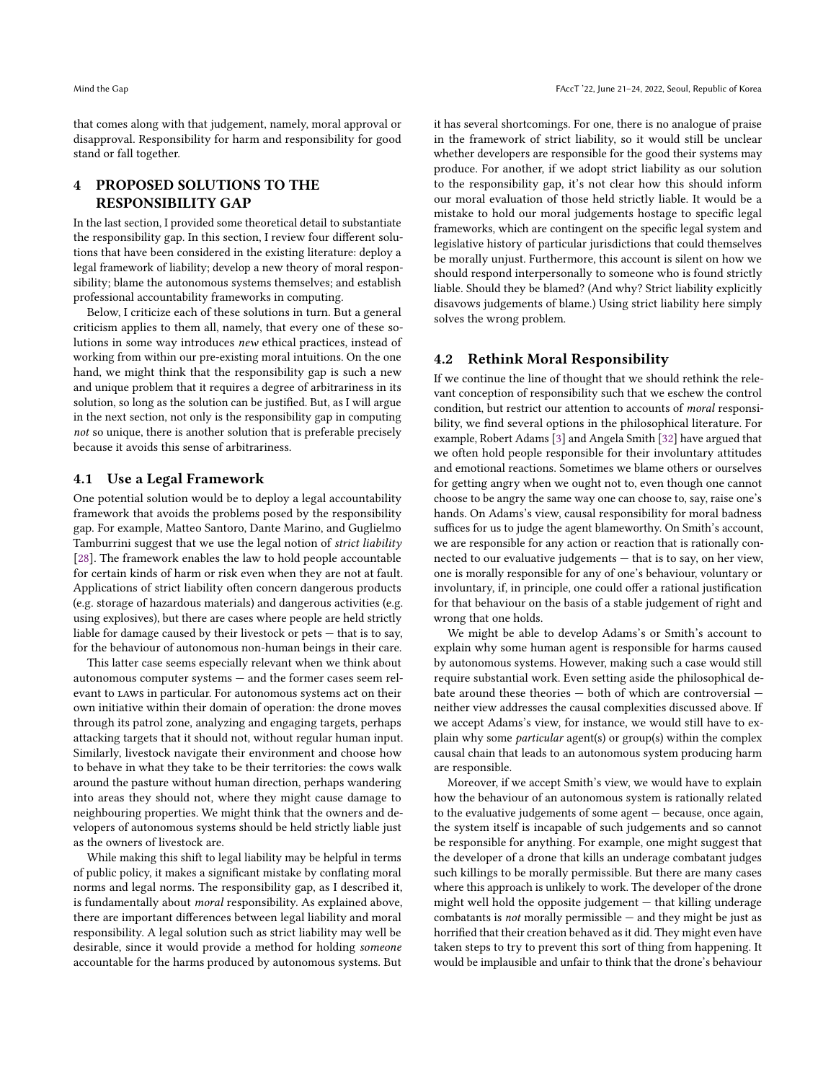that comes along with that judgement, namely, moral approval or disapproval. Responsibility for harm and responsibility for good stand or fall together.

# 4 PROPOSED SOLUTIONS TO THE RESPONSIBILITY GAP

In the last section, I provided some theoretical detail to substantiate the responsibility gap. In this section, I review four different solutions that have been considered in the existing literature: deploy a legal framework of liability; develop a new theory of moral responsibility; blame the autonomous systems themselves; and establish professional accountability frameworks in computing.

Below, I criticize each of these solutions in turn. But a general criticism applies to them all, namely, that every one of these solutions in some way introduces new ethical practices, instead of working from within our pre-existing moral intuitions. On the one hand, we might think that the responsibility gap is such a new and unique problem that it requires a degree of arbitrariness in its solution, so long as the solution can be justified. But, as I will argue in the next section, not only is the responsibility gap in computing not so unique, there is another solution that is preferable precisely because it avoids this sense of arbitrariness.

## 4.1 Use a Legal Framework

One potential solution would be to deploy a legal accountability framework that avoids the problems posed by the responsibility gap. For example, Matteo Santoro, Dante Marino, and Guglielmo Tamburrini suggest that we use the legal notion of strict liability [\[28\]](#page-9-13). The framework enables the law to hold people accountable for certain kinds of harm or risk even when they are not at fault. Applications of strict liability often concern dangerous products (e.g. storage of hazardous materials) and dangerous activities (e.g. using explosives), but there are cases where people are held strictly liable for damage caused by their livestock or pets — that is to say, for the behaviour of autonomous non-human beings in their care.

This latter case seems especially relevant when we think about autonomous computer systems — and the former cases seem relevant to laws in particular. For autonomous systems act on their own initiative within their domain of operation: the drone moves through its patrol zone, analyzing and engaging targets, perhaps attacking targets that it should not, without regular human input. Similarly, livestock navigate their environment and choose how to behave in what they take to be their territories: the cows walk around the pasture without human direction, perhaps wandering into areas they should not, where they might cause damage to neighbouring properties. We might think that the owners and developers of autonomous systems should be held strictly liable just as the owners of livestock are.

While making this shift to legal liability may be helpful in terms of public policy, it makes a significant mistake by conflating moral norms and legal norms. The responsibility gap, as I described it, is fundamentally about moral responsibility. As explained above, there are important differences between legal liability and moral responsibility. A legal solution such as strict liability may well be desirable, since it would provide a method for holding someone accountable for the harms produced by autonomous systems. But

it has several shortcomings. For one, there is no analogue of praise in the framework of strict liability, so it would still be unclear whether developers are responsible for the good their systems may produce. For another, if we adopt strict liability as our solution to the responsibility gap, it's not clear how this should inform our moral evaluation of those held strictly liable. It would be a mistake to hold our moral judgements hostage to specific legal frameworks, which are contingent on the specific legal system and legislative history of particular jurisdictions that could themselves be morally unjust. Furthermore, this account is silent on how we should respond interpersonally to someone who is found strictly liable. Should they be blamed? (And why? Strict liability explicitly disavows judgements of blame.) Using strict liability here simply solves the wrong problem.

## 4.2 Rethink Moral Responsibility

If we continue the line of thought that we should rethink the relevant conception of responsibility such that we eschew the control condition, but restrict our attention to accounts of moral responsibility, we find several options in the philosophical literature. For example, Robert Adams [\[3\]](#page-9-14) and Angela Smith [\[32\]](#page-9-15) have argued that we often hold people responsible for their involuntary attitudes and emotional reactions. Sometimes we blame others or ourselves for getting angry when we ought not to, even though one cannot choose to be angry the same way one can choose to, say, raise one's hands. On Adams's view, causal responsibility for moral badness suffices for us to judge the agent blameworthy. On Smith's account, we are responsible for any action or reaction that is rationally connected to our evaluative judgements — that is to say, on her view, one is morally responsible for any of one's behaviour, voluntary or involuntary, if, in principle, one could offer a rational justification for that behaviour on the basis of a stable judgement of right and wrong that one holds.

We might be able to develop Adams's or Smith's account to explain why some human agent is responsible for harms caused by autonomous systems. However, making such a case would still require substantial work. Even setting aside the philosophical debate around these theories - both of which are controversial neither view addresses the causal complexities discussed above. If we accept Adams's view, for instance, we would still have to explain why some particular agent(s) or group(s) within the complex causal chain that leads to an autonomous system producing harm are responsible.

Moreover, if we accept Smith's view, we would have to explain how the behaviour of an autonomous system is rationally related to the evaluative judgements of some agent — because, once again, the system itself is incapable of such judgements and so cannot be responsible for anything. For example, one might suggest that the developer of a drone that kills an underage combatant judges such killings to be morally permissible. But there are many cases where this approach is unlikely to work. The developer of the drone might well hold the opposite judgement — that killing underage combatants is not morally permissible — and they might be just as horrified that their creation behaved as it did. They might even have taken steps to try to prevent this sort of thing from happening. It would be implausible and unfair to think that the drone's behaviour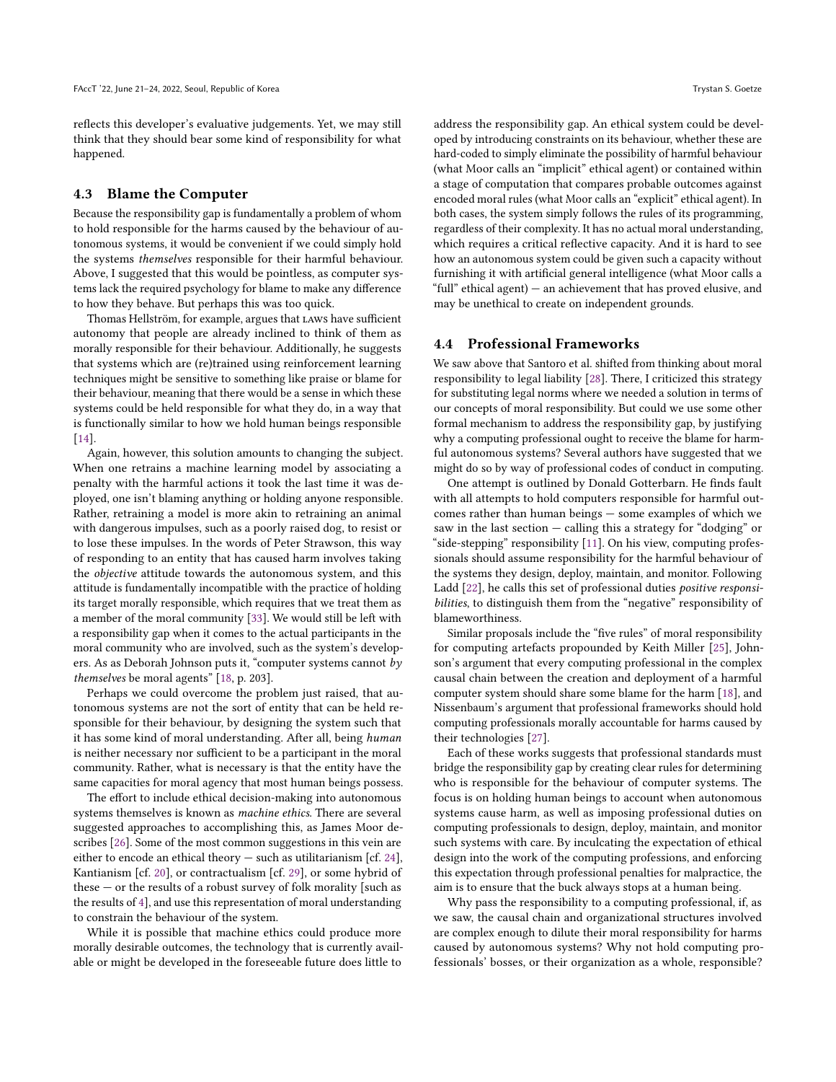reflects this developer's evaluative judgements. Yet, we may still think that they should bear some kind of responsibility for what happened.

#### 4.3 Blame the Computer

Because the responsibility gap is fundamentally a problem of whom to hold responsible for the harms caused by the behaviour of autonomous systems, it would be convenient if we could simply hold the systems themselves responsible for their harmful behaviour. Above, I suggested that this would be pointless, as computer systems lack the required psychology for blame to make any difference to how they behave. But perhaps this was too quick.

Thomas Hellström, for example, argues that laws have sufficient autonomy that people are already inclined to think of them as morally responsible for their behaviour. Additionally, he suggests that systems which are (re)trained using reinforcement learning techniques might be sensitive to something like praise or blame for their behaviour, meaning that there would be a sense in which these systems could be held responsible for what they do, in a way that is functionally similar to how we hold human beings responsible [\[14\]](#page-9-16).

Again, however, this solution amounts to changing the subject. When one retrains a machine learning model by associating a penalty with the harmful actions it took the last time it was deployed, one isn't blaming anything or holding anyone responsible. Rather, retraining a model is more akin to retraining an animal with dangerous impulses, such as a poorly raised dog, to resist or to lose these impulses. In the words of Peter Strawson, this way of responding to an entity that has caused harm involves taking the objective attitude towards the autonomous system, and this attitude is fundamentally incompatible with the practice of holding its target morally responsible, which requires that we treat them as a member of the moral community [\[33\]](#page-9-17). We would still be left with a responsibility gap when it comes to the actual participants in the moral community who are involved, such as the system's developers. As as Deborah Johnson puts it, "computer systems cannot  $b\gamma$ themselves be moral agents" [\[18,](#page-9-18) p. 203].

Perhaps we could overcome the problem just raised, that autonomous systems are not the sort of entity that can be held responsible for their behaviour, by designing the system such that it has some kind of moral understanding. After all, being human is neither necessary nor sufficient to be a participant in the moral community. Rather, what is necessary is that the entity have the same capacities for moral agency that most human beings possess.

The effort to include ethical decision-making into autonomous systems themselves is known as machine ethics. There are several suggested approaches to accomplishing this, as James Moor describes [\[26\]](#page-9-19). Some of the most common suggestions in this vein are either to encode an ethical theory — such as utilitarianism [cf. [24\]](#page-9-20), Kantianism [cf. [20\]](#page-9-21), or contractualism [cf. [29\]](#page-9-22), or some hybrid of these — or the results of a robust survey of folk morality [such as the results of [4\]](#page-9-23), and use this representation of moral understanding to constrain the behaviour of the system.

While it is possible that machine ethics could produce more morally desirable outcomes, the technology that is currently available or might be developed in the foreseeable future does little to

address the responsibility gap. An ethical system could be developed by introducing constraints on its behaviour, whether these are hard-coded to simply eliminate the possibility of harmful behaviour (what Moor calls an "implicit" ethical agent) or contained within a stage of computation that compares probable outcomes against encoded moral rules (what Moor calls an "explicit" ethical agent). In both cases, the system simply follows the rules of its programming, regardless of their complexity. It has no actual moral understanding, which requires a critical reflective capacity. And it is hard to see how an autonomous system could be given such a capacity without furnishing it with artificial general intelligence (what Moor calls a "full" ethical agent) — an achievement that has proved elusive, and may be unethical to create on independent grounds.

#### 4.4 Professional Frameworks

We saw above that Santoro et al. shifted from thinking about moral responsibility to legal liability [\[28\]](#page-9-13). There, I criticized this strategy for substituting legal norms where we needed a solution in terms of our concepts of moral responsibility. But could we use some other formal mechanism to address the responsibility gap, by justifying why a computing professional ought to receive the blame for harmful autonomous systems? Several authors have suggested that we might do so by way of professional codes of conduct in computing.

One attempt is outlined by Donald Gotterbarn. He finds fault with all attempts to hold computers responsible for harmful outcomes rather than human beings — some examples of which we saw in the last section — calling this a strategy for "dodging" or "side-stepping" responsibility [\[11\]](#page-9-24). On his view, computing professionals should assume responsibility for the harmful behaviour of the systems they design, deploy, maintain, and monitor. Following Ladd [\[22\]](#page-9-10), he calls this set of professional duties positive responsibilities, to distinguish them from the "negative" responsibility of blameworthiness.

Similar proposals include the "five rules" of moral responsibility for computing artefacts propounded by Keith Miller [\[25\]](#page-9-25), Johnson's argument that every computing professional in the complex causal chain between the creation and deployment of a harmful computer system should share some blame for the harm [\[18\]](#page-9-18), and Nissenbaum's argument that professional frameworks should hold computing professionals morally accountable for harms caused by their technologies [\[27\]](#page-9-12).

Each of these works suggests that professional standards must bridge the responsibility gap by creating clear rules for determining who is responsible for the behaviour of computer systems. The focus is on holding human beings to account when autonomous systems cause harm, as well as imposing professional duties on computing professionals to design, deploy, maintain, and monitor such systems with care. By inculcating the expectation of ethical design into the work of the computing professions, and enforcing this expectation through professional penalties for malpractice, the aim is to ensure that the buck always stops at a human being.

Why pass the responsibility to a computing professional, if, as we saw, the causal chain and organizational structures involved are complex enough to dilute their moral responsibility for harms caused by autonomous systems? Why not hold computing professionals' bosses, or their organization as a whole, responsible?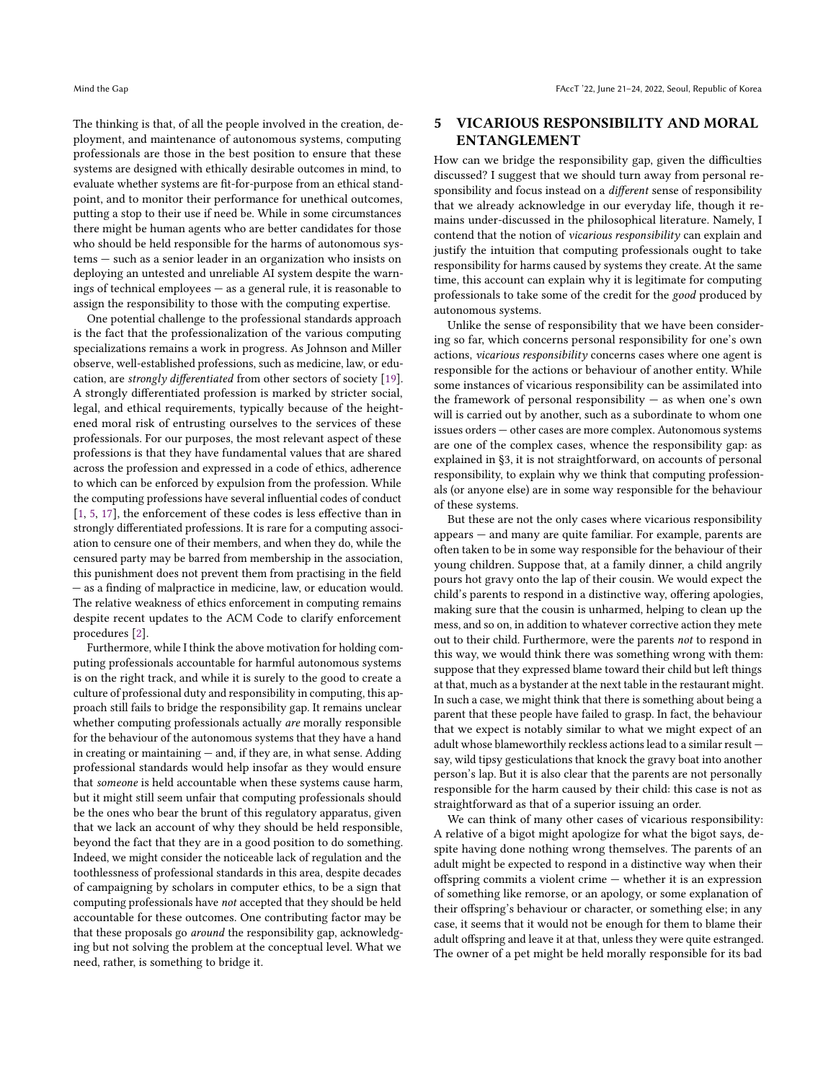The thinking is that, of all the people involved in the creation, deployment, and maintenance of autonomous systems, computing professionals are those in the best position to ensure that these systems are designed with ethically desirable outcomes in mind, to evaluate whether systems are fit-for-purpose from an ethical standpoint, and to monitor their performance for unethical outcomes, putting a stop to their use if need be. While in some circumstances there might be human agents who are better candidates for those who should be held responsible for the harms of autonomous systems — such as a senior leader in an organization who insists on deploying an untested and unreliable AI system despite the warnings of technical employees — as a general rule, it is reasonable to assign the responsibility to those with the computing expertise.

One potential challenge to the professional standards approach is the fact that the professionalization of the various computing specializations remains a work in progress. As Johnson and Miller observe, well-established professions, such as medicine, law, or education, are strongly differentiated from other sectors of society [\[19\]](#page-9-26). A strongly differentiated profession is marked by stricter social, legal, and ethical requirements, typically because of the heightened moral risk of entrusting ourselves to the services of these professionals. For our purposes, the most relevant aspect of these professions is that they have fundamental values that are shared across the profession and expressed in a code of ethics, adherence to which can be enforced by expulsion from the profession. While the computing professions have several influential codes of conduct [\[1,](#page-9-27) [5,](#page-9-28) [17\]](#page-9-29), the enforcement of these codes is less effective than in strongly differentiated professions. It is rare for a computing association to censure one of their members, and when they do, while the censured party may be barred from membership in the association, this punishment does not prevent them from practising in the field — as a finding of malpractice in medicine, law, or education would. The relative weakness of ethics enforcement in computing remains despite recent updates to the ACM Code to clarify enforcement procedures [\[2\]](#page-9-30).

Furthermore, while I think the above motivation for holding computing professionals accountable for harmful autonomous systems is on the right track, and while it is surely to the good to create a culture of professional duty and responsibility in computing, this approach still fails to bridge the responsibility gap. It remains unclear whether computing professionals actually are morally responsible for the behaviour of the autonomous systems that they have a hand in creating or maintaining — and, if they are, in what sense. Adding professional standards would help insofar as they would ensure that someone is held accountable when these systems cause harm, but it might still seem unfair that computing professionals should be the ones who bear the brunt of this regulatory apparatus, given that we lack an account of why they should be held responsible, beyond the fact that they are in a good position to do something. Indeed, we might consider the noticeable lack of regulation and the toothlessness of professional standards in this area, despite decades of campaigning by scholars in computer ethics, to be a sign that computing professionals have not accepted that they should be held accountable for these outcomes. One contributing factor may be that these proposals go around the responsibility gap, acknowledging but not solving the problem at the conceptual level. What we need, rather, is something to bridge it.

## 5 VICARIOUS RESPONSIBILITY AND MORAL ENTANGLEMENT

How can we bridge the responsibility gap, given the difficulties discussed? I suggest that we should turn away from personal responsibility and focus instead on a different sense of responsibility that we already acknowledge in our everyday life, though it remains under-discussed in the philosophical literature. Namely, I contend that the notion of vicarious responsibility can explain and justify the intuition that computing professionals ought to take responsibility for harms caused by systems they create. At the same time, this account can explain why it is legitimate for computing professionals to take some of the credit for the good produced by autonomous systems.

Unlike the sense of responsibility that we have been considering so far, which concerns personal responsibility for one's own actions, vicarious responsibility concerns cases where one agent is responsible for the actions or behaviour of another entity. While some instances of vicarious responsibility can be assimilated into the framework of personal responsibility  $-$  as when one's own will is carried out by another, such as a subordinate to whom one issues orders — other cases are more complex. Autonomous systems are one of the complex cases, whence the responsibility gap: as explained in §3, it is not straightforward, on accounts of personal responsibility, to explain why we think that computing professionals (or anyone else) are in some way responsible for the behaviour of these systems.

But these are not the only cases where vicarious responsibility appears — and many are quite familiar. For example, parents are often taken to be in some way responsible for the behaviour of their young children. Suppose that, at a family dinner, a child angrily pours hot gravy onto the lap of their cousin. We would expect the child's parents to respond in a distinctive way, offering apologies, making sure that the cousin is unharmed, helping to clean up the mess, and so on, in addition to whatever corrective action they mete out to their child. Furthermore, were the parents not to respond in this way, we would think there was something wrong with them: suppose that they expressed blame toward their child but left things at that, much as a bystander at the next table in the restaurant might. In such a case, we might think that there is something about being a parent that these people have failed to grasp. In fact, the behaviour that we expect is notably similar to what we might expect of an adult whose blameworthily reckless actions lead to a similar result say, wild tipsy gesticulations that knock the gravy boat into another person's lap. But it is also clear that the parents are not personally responsible for the harm caused by their child: this case is not as straightforward as that of a superior issuing an order.

We can think of many other cases of vicarious responsibility: A relative of a bigot might apologize for what the bigot says, despite having done nothing wrong themselves. The parents of an adult might be expected to respond in a distinctive way when their offspring commits a violent crime — whether it is an expression of something like remorse, or an apology, or some explanation of their offspring's behaviour or character, or something else; in any case, it seems that it would not be enough for them to blame their adult offspring and leave it at that, unless they were quite estranged. The owner of a pet might be held morally responsible for its bad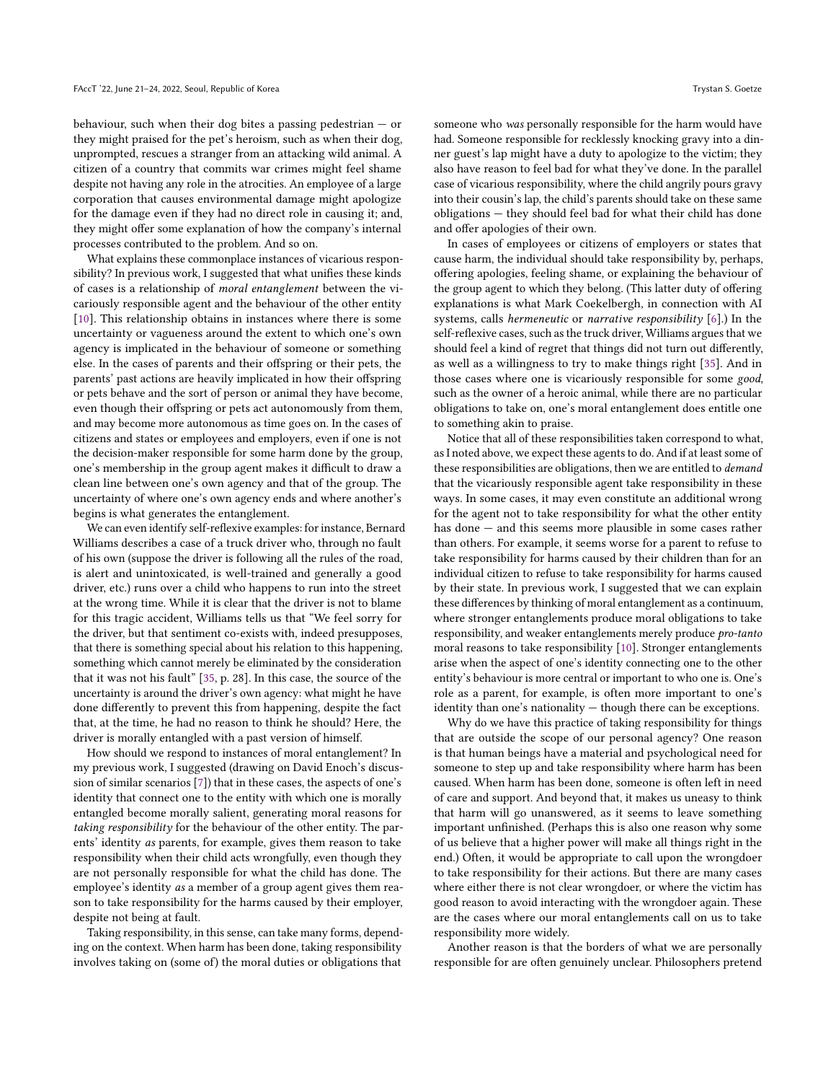behaviour, such when their dog bites a passing pedestrian — or they might praised for the pet's heroism, such as when their dog, unprompted, rescues a stranger from an attacking wild animal. A citizen of a country that commits war crimes might feel shame despite not having any role in the atrocities. An employee of a large corporation that causes environmental damage might apologize for the damage even if they had no direct role in causing it; and, they might offer some explanation of how the company's internal processes contributed to the problem. And so on.

What explains these commonplace instances of vicarious responsibility? In previous work, I suggested that what unifies these kinds of cases is a relationship of moral entanglement between the vicariously responsible agent and the behaviour of the other entity [\[10\]](#page-9-31). This relationship obtains in instances where there is some uncertainty or vagueness around the extent to which one's own agency is implicated in the behaviour of someone or something else. In the cases of parents and their offspring or their pets, the parents' past actions are heavily implicated in how their offspring or pets behave and the sort of person or animal they have become, even though their offspring or pets act autonomously from them, and may become more autonomous as time goes on. In the cases of citizens and states or employees and employers, even if one is not the decision-maker responsible for some harm done by the group, one's membership in the group agent makes it difficult to draw a clean line between one's own agency and that of the group. The uncertainty of where one's own agency ends and where another's begins is what generates the entanglement.

We can even identify self-reflexive examples: for instance, Bernard Williams describes a case of a truck driver who, through no fault of his own (suppose the driver is following all the rules of the road, is alert and unintoxicated, is well-trained and generally a good driver, etc.) runs over a child who happens to run into the street at the wrong time. While it is clear that the driver is not to blame for this tragic accident, Williams tells us that "We feel sorry for the driver, but that sentiment co-exists with, indeed presupposes, that there is something special about his relation to this happening, something which cannot merely be eliminated by the consideration that it was not his fault" [\[35,](#page-9-32) p. 28]. In this case, the source of the uncertainty is around the driver's own agency: what might he have done differently to prevent this from happening, despite the fact that, at the time, he had no reason to think he should? Here, the driver is morally entangled with a past version of himself.

How should we respond to instances of moral entanglement? In my previous work, I suggested (drawing on David Enoch's discussion of similar scenarios [\[7\]](#page-9-33)) that in these cases, the aspects of one's identity that connect one to the entity with which one is morally entangled become morally salient, generating moral reasons for taking responsibility for the behaviour of the other entity. The parents' identity as parents, for example, gives them reason to take responsibility when their child acts wrongfully, even though they are not personally responsible for what the child has done. The employee's identity as a member of a group agent gives them reason to take responsibility for the harms caused by their employer, despite not being at fault.

Taking responsibility, in this sense, can take many forms, depending on the context. When harm has been done, taking responsibility involves taking on (some of) the moral duties or obligations that

someone who was personally responsible for the harm would have had. Someone responsible for recklessly knocking gravy into a dinner guest's lap might have a duty to apologize to the victim; they also have reason to feel bad for what they've done. In the parallel case of vicarious responsibility, where the child angrily pours gravy into their cousin's lap, the child's parents should take on these same obligations — they should feel bad for what their child has done and offer apologies of their own.

In cases of employees or citizens of employers or states that cause harm, the individual should take responsibility by, perhaps, offering apologies, feeling shame, or explaining the behaviour of the group agent to which they belong. (This latter duty of offering explanations is what Mark Coekelbergh, in connection with AI systems, calls hermeneutic or narrative responsibility [\[6\]](#page-9-34).) In the self-reflexive cases, such as the truck driver, Williams argues that we should feel a kind of regret that things did not turn out differently, as well as a willingness to try to make things right [\[35\]](#page-9-32). And in those cases where one is vicariously responsible for some good, such as the owner of a heroic animal, while there are no particular obligations to take on, one's moral entanglement does entitle one to something akin to praise.

Notice that all of these responsibilities taken correspond to what, as I noted above, we expect these agents to do. And if at least some of these responsibilities are obligations, then we are entitled to demand that the vicariously responsible agent take responsibility in these ways. In some cases, it may even constitute an additional wrong for the agent not to take responsibility for what the other entity has done — and this seems more plausible in some cases rather than others. For example, it seems worse for a parent to refuse to take responsibility for harms caused by their children than for an individual citizen to refuse to take responsibility for harms caused by their state. In previous work, I suggested that we can explain these differences by thinking of moral entanglement as a continuum, where stronger entanglements produce moral obligations to take responsibility, and weaker entanglements merely produce pro-tanto moral reasons to take responsibility [\[10\]](#page-9-31). Stronger entanglements arise when the aspect of one's identity connecting one to the other entity's behaviour is more central or important to who one is. One's role as a parent, for example, is often more important to one's identity than one's nationality — though there can be exceptions.

Why do we have this practice of taking responsibility for things that are outside the scope of our personal agency? One reason is that human beings have a material and psychological need for someone to step up and take responsibility where harm has been caused. When harm has been done, someone is often left in need of care and support. And beyond that, it makes us uneasy to think that harm will go unanswered, as it seems to leave something important unfinished. (Perhaps this is also one reason why some of us believe that a higher power will make all things right in the end.) Often, it would be appropriate to call upon the wrongdoer to take responsibility for their actions. But there are many cases where either there is not clear wrongdoer, or where the victim has good reason to avoid interacting with the wrongdoer again. These are the cases where our moral entanglements call on us to take responsibility more widely.

Another reason is that the borders of what we are personally responsible for are often genuinely unclear. Philosophers pretend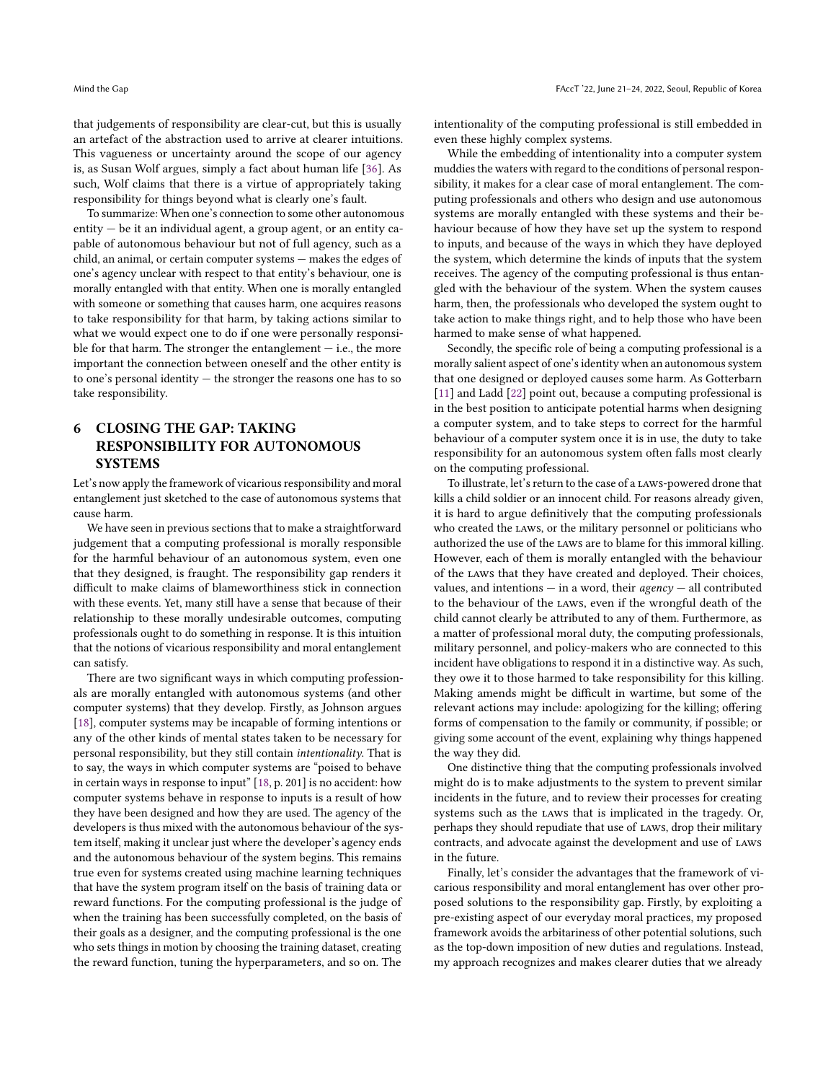that judgements of responsibility are clear-cut, but this is usually an artefact of the abstraction used to arrive at clearer intuitions. This vagueness or uncertainty around the scope of our agency is, as Susan Wolf argues, simply a fact about human life [\[36\]](#page-9-35). As such, Wolf claims that there is a virtue of appropriately taking responsibility for things beyond what is clearly one's fault.

To summarize: When one's connection to some other autonomous entity — be it an individual agent, a group agent, or an entity capable of autonomous behaviour but not of full agency, such as a child, an animal, or certain computer systems — makes the edges of one's agency unclear with respect to that entity's behaviour, one is morally entangled with that entity. When one is morally entangled with someone or something that causes harm, one acquires reasons to take responsibility for that harm, by taking actions similar to what we would expect one to do if one were personally responsible for that harm. The stronger the entanglement  $-$  i.e., the more important the connection between oneself and the other entity is to one's personal identity — the stronger the reasons one has to so take responsibility.

# 6 CLOSING THE GAP: TAKING RESPONSIBILITY FOR AUTONOMOUS **SYSTEMS**

Let's now apply the framework of vicarious responsibility and moral entanglement just sketched to the case of autonomous systems that cause harm.

We have seen in previous sections that to make a straightforward judgement that a computing professional is morally responsible for the harmful behaviour of an autonomous system, even one that they designed, is fraught. The responsibility gap renders it difficult to make claims of blameworthiness stick in connection with these events. Yet, many still have a sense that because of their relationship to these morally undesirable outcomes, computing professionals ought to do something in response. It is this intuition that the notions of vicarious responsibility and moral entanglement can satisfy.

There are two significant ways in which computing professionals are morally entangled with autonomous systems (and other computer systems) that they develop. Firstly, as Johnson argues [\[18\]](#page-9-18), computer systems may be incapable of forming intentions or any of the other kinds of mental states taken to be necessary for personal responsibility, but they still contain intentionality. That is to say, the ways in which computer systems are "poised to behave in certain ways in response to input" [\[18,](#page-9-18) p. 201] is no accident: how computer systems behave in response to inputs is a result of how they have been designed and how they are used. The agency of the developers is thus mixed with the autonomous behaviour of the system itself, making it unclear just where the developer's agency ends and the autonomous behaviour of the system begins. This remains true even for systems created using machine learning techniques that have the system program itself on the basis of training data or reward functions. For the computing professional is the judge of when the training has been successfully completed, on the basis of their goals as a designer, and the computing professional is the one who sets things in motion by choosing the training dataset, creating the reward function, tuning the hyperparameters, and so on. The

intentionality of the computing professional is still embedded in even these highly complex systems.

While the embedding of intentionality into a computer system muddies the waters with regard to the conditions of personal responsibility, it makes for a clear case of moral entanglement. The computing professionals and others who design and use autonomous systems are morally entangled with these systems and their behaviour because of how they have set up the system to respond to inputs, and because of the ways in which they have deployed the system, which determine the kinds of inputs that the system receives. The agency of the computing professional is thus entangled with the behaviour of the system. When the system causes harm, then, the professionals who developed the system ought to take action to make things right, and to help those who have been harmed to make sense of what happened.

Secondly, the specific role of being a computing professional is a morally salient aspect of one's identity when an autonomous system that one designed or deployed causes some harm. As Gotterbarn [\[11\]](#page-9-24) and Ladd [\[22\]](#page-9-10) point out, because a computing professional is in the best position to anticipate potential harms when designing a computer system, and to take steps to correct for the harmful behaviour of a computer system once it is in use, the duty to take responsibility for an autonomous system often falls most clearly on the computing professional.

To illustrate, let's return to the case of a laws-powered drone that kills a child soldier or an innocent child. For reasons already given, it is hard to argue definitively that the computing professionals who created the laws, or the military personnel or politicians who authorized the use of the laws are to blame for this immoral killing. However, each of them is morally entangled with the behaviour of the laws that they have created and deployed. Their choices, values, and intentions — in a word, their  $a\gamma =$  all contributed to the behaviour of the laws, even if the wrongful death of the child cannot clearly be attributed to any of them. Furthermore, as a matter of professional moral duty, the computing professionals, military personnel, and policy-makers who are connected to this incident have obligations to respond it in a distinctive way. As such, they owe it to those harmed to take responsibility for this killing. Making amends might be difficult in wartime, but some of the relevant actions may include: apologizing for the killing; offering forms of compensation to the family or community, if possible; or giving some account of the event, explaining why things happened the way they did.

One distinctive thing that the computing professionals involved might do is to make adjustments to the system to prevent similar incidents in the future, and to review their processes for creating systems such as the laws that is implicated in the tragedy. Or, perhaps they should repudiate that use of laws, drop their military contracts, and advocate against the development and use of LAWS in the future.

Finally, let's consider the advantages that the framework of vicarious responsibility and moral entanglement has over other proposed solutions to the responsibility gap. Firstly, by exploiting a pre-existing aspect of our everyday moral practices, my proposed framework avoids the arbitariness of other potential solutions, such as the top-down imposition of new duties and regulations. Instead, my approach recognizes and makes clearer duties that we already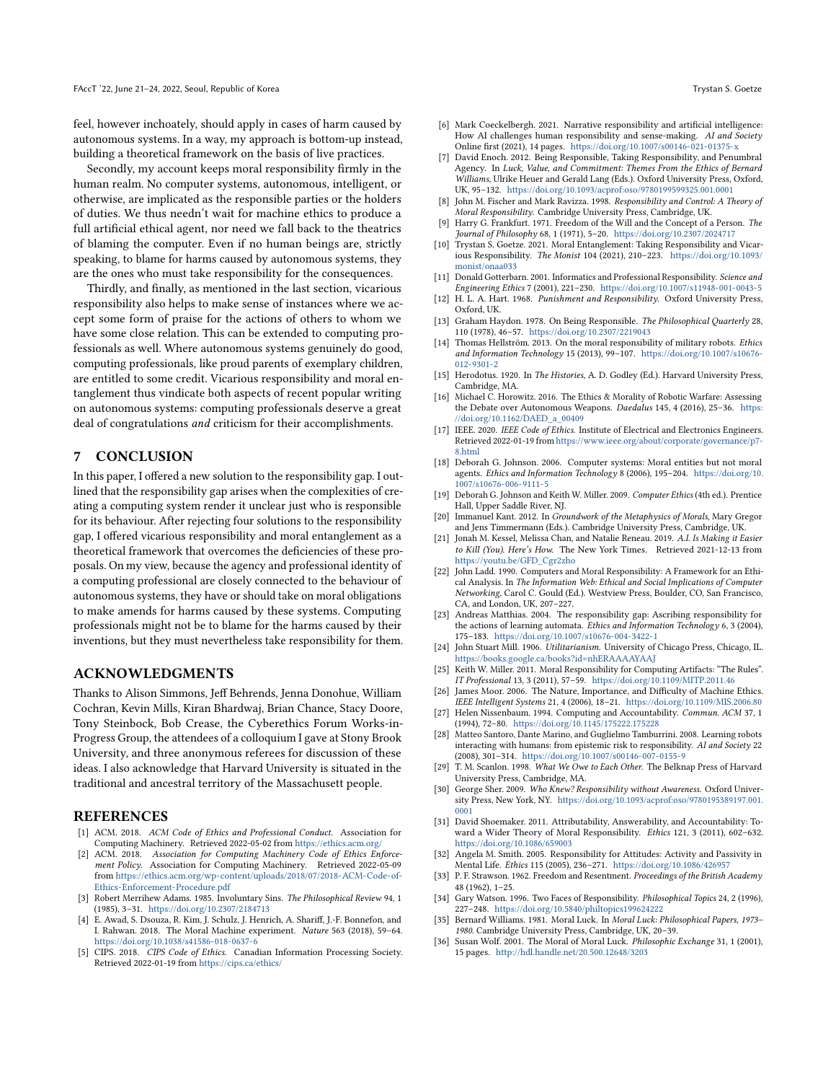feel, however inchoately, should apply in cases of harm caused by autonomous systems. In a way, my approach is bottom-up instead, building a theoretical framework on the basis of live practices.

Secondly, my account keeps moral responsibility firmly in the human realm. No computer systems, autonomous, intelligent, or otherwise, are implicated as the responsible parties or the holders of duties. We thus needn't wait for machine ethics to produce a full artificial ethical agent, nor need we fall back to the theatrics of blaming the computer. Even if no human beings are, strictly speaking, to blame for harms caused by autonomous systems, they are the ones who must take responsibility for the consequences.

Thirdly, and finally, as mentioned in the last section, vicarious responsibility also helps to make sense of instances where we accept some form of praise for the actions of others to whom we have some close relation. This can be extended to computing professionals as well. Where autonomous systems genuinely do good, computing professionals, like proud parents of exemplary children, are entitled to some credit. Vicarious responsibility and moral entanglement thus vindicate both aspects of recent popular writing on autonomous systems: computing professionals deserve a great deal of congratulations and criticism for their accomplishments.

## 7 CONCLUSION

In this paper, I offered a new solution to the responsibility gap. I outlined that the responsibility gap arises when the complexities of creating a computing system render it unclear just who is responsible for its behaviour. After rejecting four solutions to the responsibility gap, I offered vicarious responsibility and moral entanglement as a theoretical framework that overcomes the deficiencies of these proposals. On my view, because the agency and professional identity of a computing professional are closely connected to the behaviour of autonomous systems, they have or should take on moral obligations to make amends for harms caused by these systems. Computing professionals might not be to blame for the harms caused by their inventions, but they must nevertheless take responsibility for them.

#### ACKNOWLEDGMENTS

Thanks to Alison Simmons, Jeff Behrends, Jenna Donohue, William Cochran, Kevin Mills, Kiran Bhardwaj, Brian Chance, Stacy Doore, Tony Steinbock, Bob Crease, the Cyberethics Forum Works-in-Progress Group, the attendees of a colloquium I gave at Stony Brook University, and three anonymous referees for discussion of these ideas. I also acknowledge that Harvard University is situated in the traditional and ancestral territory of the Massachusett people.

#### **REFERENCES**

- <span id="page-9-27"></span>[1] ACM. 2018. ACM Code of Ethics and Professional Conduct. Association for Computing Machinery. Retrieved 2022-05-02 from <https://ethics.acm.org/>
- <span id="page-9-30"></span>[2] ACM. 2018. Association for Computing Machinery Code of Ethics Enforcement Policy. Association for Computing Machinery. Retrieved 2022-05-09 from [https://ethics.acm.org/wp-content/uploads/2018/07/2018-ACM-Code-of-](https://ethics.acm.org/wp-content/uploads/2018/07/2018-ACM-Code-of-Ethics-Enforcement-Procedure.pdf)[Ethics-Enforcement-Procedure.pdf](https://ethics.acm.org/wp-content/uploads/2018/07/2018-ACM-Code-of-Ethics-Enforcement-Procedure.pdf)
- <span id="page-9-14"></span>[3] Robert Merrihew Adams. 1985. Involuntary Sins. The Philosophical Review 94, 1 (1985), 3–31. <https://doi.org/10.2307/2184713>
- <span id="page-9-23"></span>[4] E. Awad, S. Dsouza, R. Kim, J. Schulz, J. Henrich, A. Shariff, J.-F. Bonnefon, and I. Rahwan. 2018. The Moral Machine experiment. Nature 563 (2018), 59–64. <https://doi.org/10.1038/s41586-018-0637-6>
- <span id="page-9-28"></span>[5] CIPS. 2018. CIPS Code of Ethics. Canadian Information Processing Society. Retrieved 2022-01-19 from <https://cips.ca/ethics/>
- <span id="page-9-34"></span>[6] Mark Coeckelbergh. 2021. Narrative responsibility and artificial intelligence: How AI challenges human responsibility and sense-making. AI and Society Online first (2021), 14 pages. <https://doi.org/10.1007/s00146-021-01375-x>
- <span id="page-9-33"></span>[7] David Enoch. 2012. Being Responsible, Taking Responsibility, and Penumbral Agency. In Luck, Value, and Commitment: Themes From the Ethics of Bernard Williams, Ulrike Heuer and Gerald Lang (Eds.). Oxford University Press, Oxford, UK, 95–132. <https://doi.org/10.1093/acprof:oso/9780199599325.001.0001>
- <span id="page-9-7"></span>[8] John M. Fischer and Mark Ravizza. 1998. Responsibility and Control: A Theory of Moral Responsibility. Cambridge University Press, Cambridge, UK.
- <span id="page-9-8"></span>Harry G. Frankfurt. 1971. Freedom of the Will and the Concept of a Person. The Journal of Philosophy 68, 1 (1971), 5–20. <https://doi.org/10.2307/2024717>
- <span id="page-9-31"></span>[10] Trystan S. Goetze. 2021. Moral Entanglement: Taking Responsibility and Vicarious Responsibility. The Monist 104 (2021), 210–223. [https://doi.org/10.1093/](https://doi.org/10.1093/monist/onaa033) [monist/onaa033](https://doi.org/10.1093/monist/onaa033)
- <span id="page-9-24"></span>[11] Donald Gotterbarn. 2001. Informatics and Professional Responsibility. Science and Engineering Ethics 7 (2001), 221–230. <https://doi.org/10.1007/s11948-001-0043-5>
- <span id="page-9-3"></span>[12] H. L. A. Hart. 1968. Punishment and Responsibility. Oxford University Press, Oxford, UK.
- <span id="page-9-4"></span>[13] Graham Haydon. 1978. On Being Responsible. The Philosophical Quarterly 28, 110 (1978), 46–57. <https://doi.org/10.2307/2219043>
- <span id="page-9-16"></span>[14] Thomas Hellström. 2013. On the moral responsibility of military robots. Ethics and Information Technology 15 (2013), 99–107. [https://doi.org/10.1007/s10676-](https://doi.org/10.1007/s10676-012-9301-2) [012-9301-2](https://doi.org/10.1007/s10676-012-9301-2)
- <span id="page-9-2"></span>[15] Herodotus. 1920. In The Histories, A. D. Godley (Ed.). Harvard University Press, Cambridge, MA.
- <span id="page-9-1"></span>[16] Michael C. Horowitz. 2016. The Ethics & Morality of Robotic Warfare: Assessing the Debate over Autonomous Weapons. Daedalus 145, 4 (2016), 25-36. [https:](https://doi.org/10.1162/DAED_a_00409) [//doi.org/10.1162/DAED\\_a\\_00409](https://doi.org/10.1162/DAED_a_00409)
- <span id="page-9-29"></span>[17] IEEE. 2020. IEEE Code of Ethics. Institute of Electrical and Electronics Engineers. Retrieved 2022-01-19 from [https://www.ieee.org/about/corporate/governance/p7-](https://www.ieee.org/about/corporate/governance/p7-8.html) [8.html](https://www.ieee.org/about/corporate/governance/p7-8.html)
- <span id="page-9-18"></span>[18] Deborah G. Johnson. 2006. Computer systems: Moral entities but not moral agents. Ethics and Information Technology 8 (2006), 195–204. [https://doi.org/10.](https://doi.org/10.1007/s10676-006-9111-5) [1007/s10676-006-9111-5](https://doi.org/10.1007/s10676-006-9111-5)
- <span id="page-9-26"></span>[19] Deborah G. Johnson and Keith W. Miller. 2009. Computer Ethics (4th ed.). Prentice Hall, Upper Saddle River, NJ.
- <span id="page-9-21"></span>[20] Immanuel Kant. 2012. In Groundwork of the Metaphysics of Morals, Mary Gregor and Jens Timmermann (Eds.). Cambridge University Press, Cambridge, UK.
- <span id="page-9-0"></span>[21] Jonah M. Kessel, Melissa Chan, and Natalie Reneau. 2019. A.I. Is Making it Easier to Kill (You). Here's How. The New York Times. Retrieved 2021-12-13 from [https://youtu.be/GFD\\_Cgr2zho](https://youtu.be/GFD_Cgr2zho)
- <span id="page-9-10"></span>[22] John Ladd. 1990. Computers and Moral Responsibility: A Framework for an Ethical Analysis. In The Information Web: Ethical and Social Implications of Computer Networking, Carol C. Gould (Ed.). Westview Press, Boulder, CO, San Francisco, CA, and London, UK, 207–227.
- <span id="page-9-11"></span>[23] Andreas Matthias. 2004. The responsibility gap: Ascribing responsibility for the actions of learning automata. Ethics and Information Technology 6, 3 (2004), 175–183. <https://doi.org/10.1007/s10676-004-3422-1>
- <span id="page-9-20"></span>[24] John Stuart Mill. 1906. Utilitarianism. University of Chicago Press, Chicago, IL. <https://books.google.ca/books?id=nhERAAAAYAAJ>
- <span id="page-9-25"></span>[25] Keith W. Miller. 2011. Moral Responsibility for Computing Artifacts: "The Rules". IT Professional 13, 3 (2011), 57–59. <https://doi.org/10.1109/MITP.2011.46>
- <span id="page-9-19"></span>[26] James Moor. 2006. The Nature, Importance, and Difficulty of Machine Ethics. IEEE Intelligent Systems 21, 4 (2006), 18–21. <https://doi.org/10.1109/MIS.2006.80>
- <span id="page-9-12"></span>[27] Helen Nissenbaum. 1994. Computing and Accountability. Commun. ACM 37, 1 (1994), 72–80. <https://doi.org/10.1145/175222.175228>
- <span id="page-9-13"></span>[28] Matteo Santoro, Dante Marino, and Guglielmo Tamburrini. 2008. Learning robots interacting with humans: from epistemic risk to responsibility. AI and Society 22 (2008), 301–314. <https://doi.org/10.1007/s00146-007-0155-9>
- <span id="page-9-22"></span>[29] T. M. Scanlon. 1998. What We Owe to Each Other. The Belknap Press of Harvard University Press, Cambridge, MA.
- <span id="page-9-9"></span>[30] George Sher. 2009. Who Knew? Responsibility without Awareness. Oxford University Press, New York, NY. [https://doi.org/10.1093/acprof:oso/9780195389197.001.](https://doi.org/10.1093/acprof:oso/9780195389197.001.0001) [0001](https://doi.org/10.1093/acprof:oso/9780195389197.001.0001)
- <span id="page-9-5"></span>[31] David Shoemaker. 2011. Attributability, Answerability, and Accountability: Toward a Wider Theory of Moral Responsibility. Ethics 121, 3 (2011), 602–632. <https://doi.org/10.1086/659003>
- <span id="page-9-15"></span>[32] Angela M. Smith. 2005. Responsibility for Attitudes: Activity and Passivity in Mental Life. Ethics 115 (2005), 236–271. <https://doi.org/10.1086/426957>
- <span id="page-9-17"></span>[33] P. F. Strawson. 1962. Freedom and Resentment. Proceedings of the British Academy 48 (1962), 1–25.
- <span id="page-9-6"></span>[34] Gary Watson. 1996. Two Faces of Responsibility. Philosophical Topics 24, 2 (1996), 227–248. <https://doi.org/10.5840/philtopics199624222>
- <span id="page-9-32"></span>[35] Bernard Williams. 1981. Moral Luck. In Moral Luck: Philosophical Papers, 1973-1980. Cambridge University Press, Cambridge, UK, 20–39.
- <span id="page-9-35"></span>[36] Susan Wolf. 2001. The Moral of Moral Luck. Philosophic Exchange 31, 1 (2001), 15 pages. <http://hdl.handle.net/20.500.12648/3203>